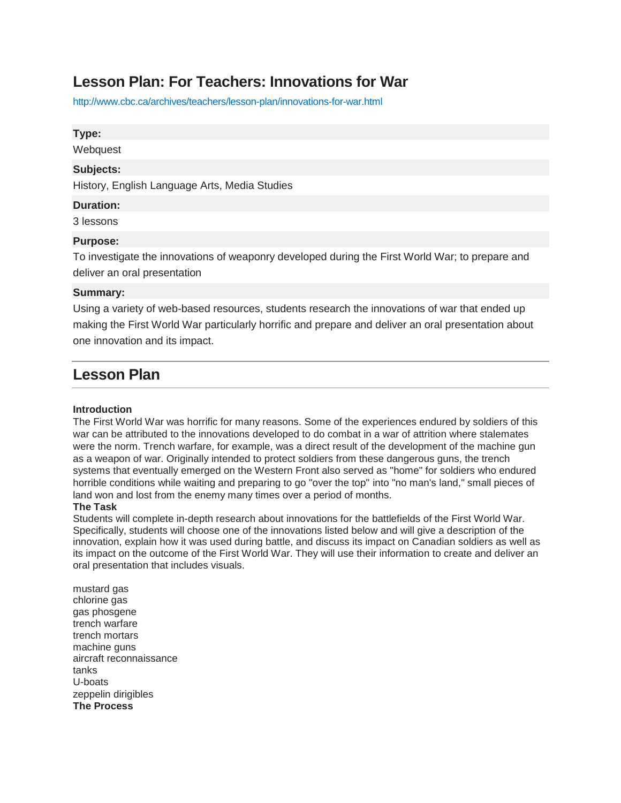# **Lesson Plan: For Teachers: Innovations for War**

<http://www.cbc.ca/archives/teachers/lesson-plan/innovations-for-war.html>

## **Type:**

**Webquest** 

## **Subjects:**

History, English Language Arts, Media Studies

## **Duration:**

3 lessons

## **Purpose:**

To investigate the innovations of weaponry developed during the First World War; to prepare and deliver an oral presentation

## **Summary:**

Using a variety of web-based resources, students research the innovations of war that ended up making the First World War particularly horrific and prepare and deliver an oral presentation about one innovation and its impact.

## **Lesson Plan**

### **Introduction**

The First World War was horrific for many reasons. Some of the experiences endured by soldiers of this war can be attributed to the innovations developed to do combat in a war of attrition where stalemates were the norm. Trench warfare, for example, was a direct result of the development of the machine gun as a weapon of war. Originally intended to protect soldiers from these dangerous guns, the trench systems that eventually emerged on the Western Front also served as "home" for soldiers who endured horrible conditions while waiting and preparing to go "over the top" into "no man's land," small pieces of land won and lost from the enemy many times over a period of months.

### **The Task**

Students will complete in-depth research about innovations for the battlefields of the First World War. Specifically, students will choose one of the innovations listed below and will give a description of the innovation, explain how it was used during battle, and discuss its impact on Canadian soldiers as well as its impact on the outcome of the First World War. They will use their information to create and deliver an oral presentation that includes visuals.

mustard gas chlorine gas gas phosgene trench warfare trench mortars machine guns aircraft reconnaissance tanks U-boats zeppelin dirigibles **The Process**